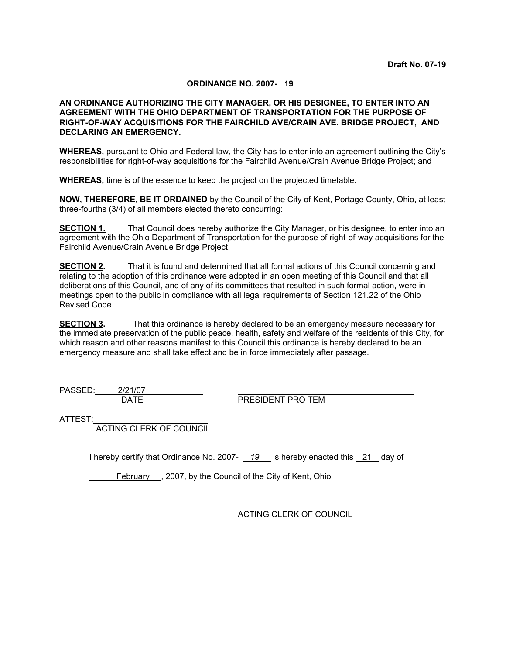# **ORDINANCE NO. 2007- 19**

## **AN ORDINANCE AUTHORIZING THE CITY MANAGER, OR HIS DESIGNEE, TO ENTER INTO AN AGREEMENT WITH THE OHIO DEPARTMENT OF TRANSPORTATION FOR THE PURPOSE OF RIGHT-OF-WAY ACQUISITIONS FOR THE FAIRCHILD AVE/CRAIN AVE. BRIDGE PROJECT, AND DECLARING AN EMERGENCY.**

**WHEREAS,** pursuant to Ohio and Federal law, the City has to enter into an agreement outlining the City's responsibilities for right-of-way acquisitions for the Fairchild Avenue/Crain Avenue Bridge Project; and

**WHEREAS,** time is of the essence to keep the project on the projected timetable.

**NOW, THEREFORE, BE IT ORDAINED** by the Council of the City of Kent, Portage County, Ohio, at least three-fourths (3/4) of all members elected thereto concurring:

**SECTION 1.** That Council does hereby authorize the City Manager, or his designee, to enter into an agreement with the Ohio Department of Transportation for the purpose of right-of-way acquisitions for the Fairchild Avenue/Crain Avenue Bridge Project.

**SECTION 2.** That it is found and determined that all formal actions of this Council concerning and relating to the adoption of this ordinance were adopted in an open meeting of this Council and that all deliberations of this Council, and of any of its committees that resulted in such formal action, were in meetings open to the public in compliance with all legal requirements of Section 121.22 of the Ohio Revised Code.

**SECTION 3.** That this ordinance is hereby declared to be an emergency measure necessary for the immediate preservation of the public peace, health, safety and welfare of the residents of this City, for which reason and other reasons manifest to this Council this ordinance is hereby declared to be an emergency measure and shall take effect and be in force immediately after passage.

PASSED: 2/21/07

DATE PRESIDENT PRO TEM

ATTEST:

ACTING CLERK OF COUNCIL

I hereby certify that Ordinance No. 2007- *19* is hereby enacted this 21 day of

February , 2007, by the Council of the City of Kent, Ohio

ACTING CLERK OF COUNCIL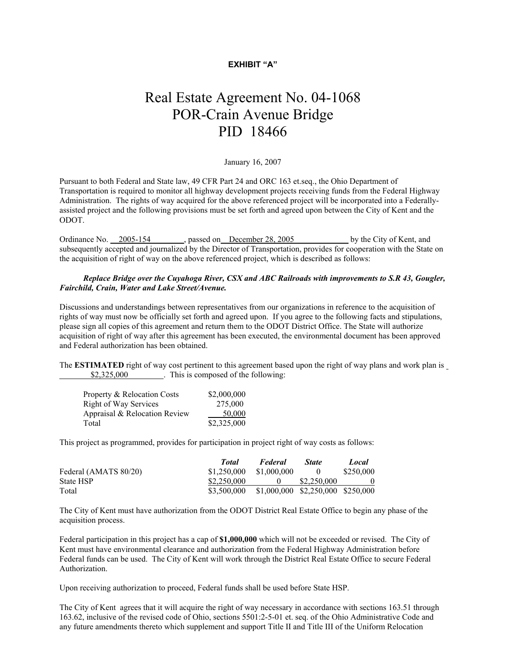## **EXHIBIT "A"**

# Real Estate Agreement No. 04-1068 POR-Crain Avenue Bridge PID 18466

January 16, 2007

Pursuant to both Federal and State law, 49 CFR Part 24 and ORC 163 et.seq., the Ohio Department of Transportation is required to monitor all highway development projects receiving funds from the Federal Highway Administration. The rights of way acquired for the above referenced project will be incorporated into a Federallyassisted project and the following provisions must be set forth and agreed upon between the City of Kent and the ODOT.

Ordinance No. 2005-154 , passed on December 28, 2005 by the City of Kent, and subsequently accepted and journalized by the Director of Transportation, provides for cooperation with the State on the acquisition of right of way on the above referenced project, which is described as follows:

#### *Replace Bridge over the Cuyahoga River, CSX and ABC Railroads with improvements to S.R 43, Gougler, Fairchild, Crain, Water and Lake Street/Avenue.*

Discussions and understandings between representatives from our organizations in reference to the acquisition of rights of way must now be officially set forth and agreed upon. If you agree to the following facts and stipulations, please sign all copies of this agreement and return them to the ODOT District Office. The State will authorize acquisition of right of way after this agreement has been executed, the environmental document has been approved and Federal authorization has been obtained.

The **ESTIMATED** right of way cost pertinent to this agreement based upon the right of way plans and work plan is \$2,325,000 . This is composed of the following:

| Property & Relocation Costs   | \$2,000,000 |
|-------------------------------|-------------|
| <b>Right of Way Services</b>  | 275,000     |
| Appraisal & Relocation Review | 50,000      |
| Total                         | \$2,325,000 |

This project as programmed, provides for participation in project right of way costs as follows:

|                       | Total       | Federal                           | <b>State</b> | Local     |
|-----------------------|-------------|-----------------------------------|--------------|-----------|
| Federal (AMATS 80/20) | \$1.250.000 | \$1,000,000                       | $\theta$     | \$250,000 |
| State HSP             | \$2,250,000 |                                   | \$2,250,000  |           |
| Total                 | \$3,500,000 | \$1,000,000 \$2,250,000 \$250,000 |              |           |

The City of Kent must have authorization from the ODOT District Real Estate Office to begin any phase of the acquisition process.

Federal participation in this project has a cap of **\$1,000,000** which will not be exceeded or revised. The City of Kent must have environmental clearance and authorization from the Federal Highway Administration before Federal funds can be used. The City of Kent will work through the District Real Estate Office to secure Federal Authorization.

Upon receiving authorization to proceed, Federal funds shall be used before State HSP.

The City of Kent agrees that it will acquire the right of way necessary in accordance with sections 163.51 through 163.62, inclusive of the revised code of Ohio, sections 5501:2-5-01 et. seq. of the Ohio Administrative Code and any future amendments thereto which supplement and support Title II and Title III of the Uniform Relocation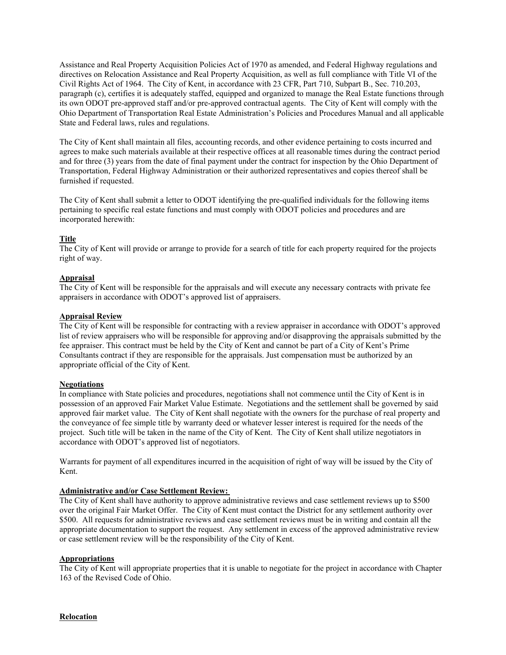Assistance and Real Property Acquisition Policies Act of 1970 as amended, and Federal Highway regulations and directives on Relocation Assistance and Real Property Acquisition, as well as full compliance with Title VI of the Civil Rights Act of 1964. The City of Kent, in accordance with 23 CFR, Part 710, Subpart B., Sec. 710.203, paragraph (c), certifies it is adequately staffed, equipped and organized to manage the Real Estate functions through its own ODOT pre-approved staff and/or pre-approved contractual agents. The City of Kent will comply with the Ohio Department of Transportation Real Estate Administration's Policies and Procedures Manual and all applicable State and Federal laws, rules and regulations.

The City of Kent shall maintain all files, accounting records, and other evidence pertaining to costs incurred and agrees to make such materials available at their respective offices at all reasonable times during the contract period and for three (3) years from the date of final payment under the contract for inspection by the Ohio Department of Transportation, Federal Highway Administration or their authorized representatives and copies thereof shall be furnished if requested.

The City of Kent shall submit a letter to ODOT identifying the pre-qualified individuals for the following items pertaining to specific real estate functions and must comply with ODOT policies and procedures and are incorporated herewith:

## **Title**

The City of Kent will provide or arrange to provide for a search of title for each property required for the projects right of way.

## **Appraisal**

The City of Kent will be responsible for the appraisals and will execute any necessary contracts with private fee appraisers in accordance with ODOT's approved list of appraisers.

## **Appraisal Review**

The City of Kent will be responsible for contracting with a review appraiser in accordance with ODOT's approved list of review appraisers who will be responsible for approving and/or disapproving the appraisals submitted by the fee appraiser. This contract must be held by the City of Kent and cannot be part of a City of Kent's Prime Consultants contract if they are responsible for the appraisals. Just compensation must be authorized by an appropriate official of the City of Kent.

## **Negotiations**

In compliance with State policies and procedures, negotiations shall not commence until the City of Kent is in possession of an approved Fair Market Value Estimate. Negotiations and the settlement shall be governed by said approved fair market value. The City of Kent shall negotiate with the owners for the purchase of real property and the conveyance of fee simple title by warranty deed or whatever lesser interest is required for the needs of the project. Such title will be taken in the name of the City of Kent. The City of Kent shall utilize negotiators in accordance with ODOT's approved list of negotiators.

Warrants for payment of all expenditures incurred in the acquisition of right of way will be issued by the City of Kent.

## **Administrative and/or Case Settlement Review:**

The City of Kent shall have authority to approve administrative reviews and case settlement reviews up to \$500 over the original Fair Market Offer. The City of Kent must contact the District for any settlement authority over \$500. All requests for administrative reviews and case settlement reviews must be in writing and contain all the appropriate documentation to support the request. Any settlement in excess of the approved administrative review or case settlement review will be the responsibility of the City of Kent.

## **Appropriations**

The City of Kent will appropriate properties that it is unable to negotiate for the project in accordance with Chapter 163 of the Revised Code of Ohio.